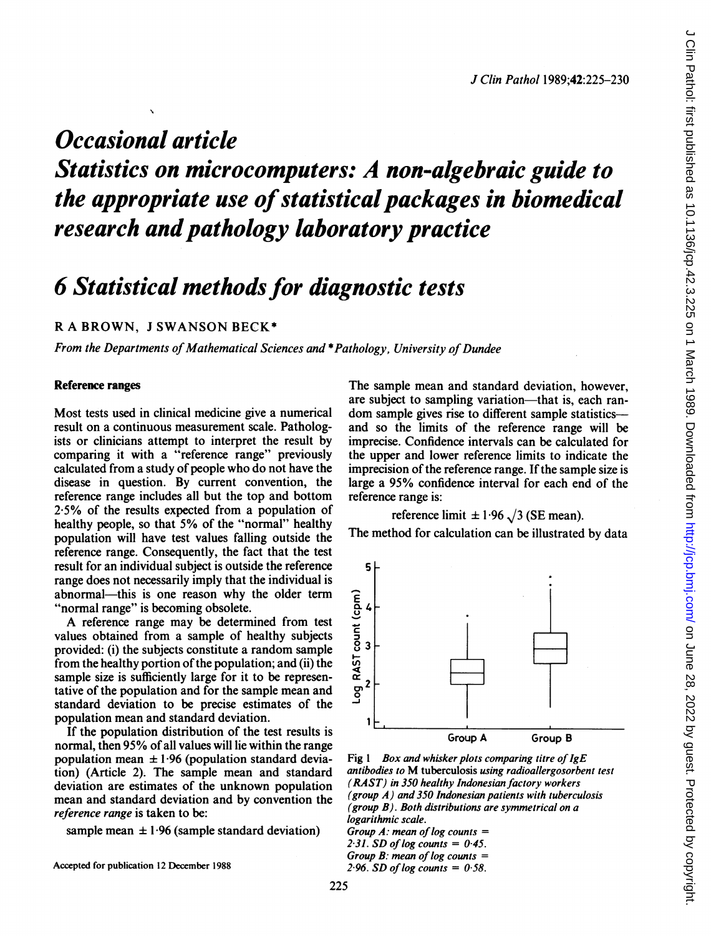# Occasional article Statistics on microcomputers: A non-algebraic guide to the appropriate use of statistical packages in biomedical research and pathology laboratory practice

# **6 Statistical methods for diagnostic tests**

# R A BROWN, <sup>J</sup> SWANSON BECK\*

From the Departments of Mathematical Sciences and \*Pathology, University of Dundee

#### Reference ranges

Most tests used in clinical medicine give a numerical result on a continuous measurement scale. Pathologists or clinicians attempt to interpret the result by comparing it with a "reference range" previously calculated from a study of people who do not have the disease in question. By current convention, the reference range includes all but the top and bottom  $2.5\%$  of the results expected from a population of healthy people, so that 5% of the "normal" healthy population will have test values falling outside the reference range. Consequently, the fact that the test result for an individual subject is outside the reference range does not necessarily imply that the individual is abnormal—this is one reason why the older term "normal range" is becoming obsolete.

A reference range may be determined from test values obtained from a sample of healthy subjects provided: (i) the subjects constitute a random sample from the healthy portion of the population; and (ii) the sample size is sufficiently large for it to be representative of the population and for the sample mean and standard deviation to be precise estimates of the population mean and standard deviation.

If the population distribution of the test results is normal, then 95% of all values will lie within the range population mean  $\pm 1.96$  (population standard deviation) (Article 2). The sample mean and standard deviation are estimates of the unknown population mean and standard deviation and by convention the reference range is taken to be:

sample mean  $\pm 1.96$  (sample standard deviation)

The sample mean and standard deviation, however, are subject to sampling variation—that is, each random sample gives rise to different sample statisticsand so the limits of the reference range will be imprecise. Confidence intervals can be calculated for the upper and lower reference limits to indicate the imprecision of the reference range. If the sample size is large a 95% confidence interval for each end of the reference range is:

# reference limit  $\pm 1.96 \sqrt{3}$  (SE mean).

The method for calculation can be illustrated by data



Fig  $1$  Box and whisker plots comparing titre of  $IgE$ antibodies to M tuberculosis using radioallergosorbent test (RAST) in 350 healthy Indonesian factory workers (group A) and <sup>350</sup> Indonesian patients with tuberculosis (group B). Both distributions are symmetrical on a logarithmic scale.

Group A: mean of  $log$  counts =  $2-31$ . SD of log counts =  $0.45$ . Group  $B$ : mean of log counts  $=$  $2.96.$  SD of log counts =  $0.58$ .

Accepted for publication 12 December 1988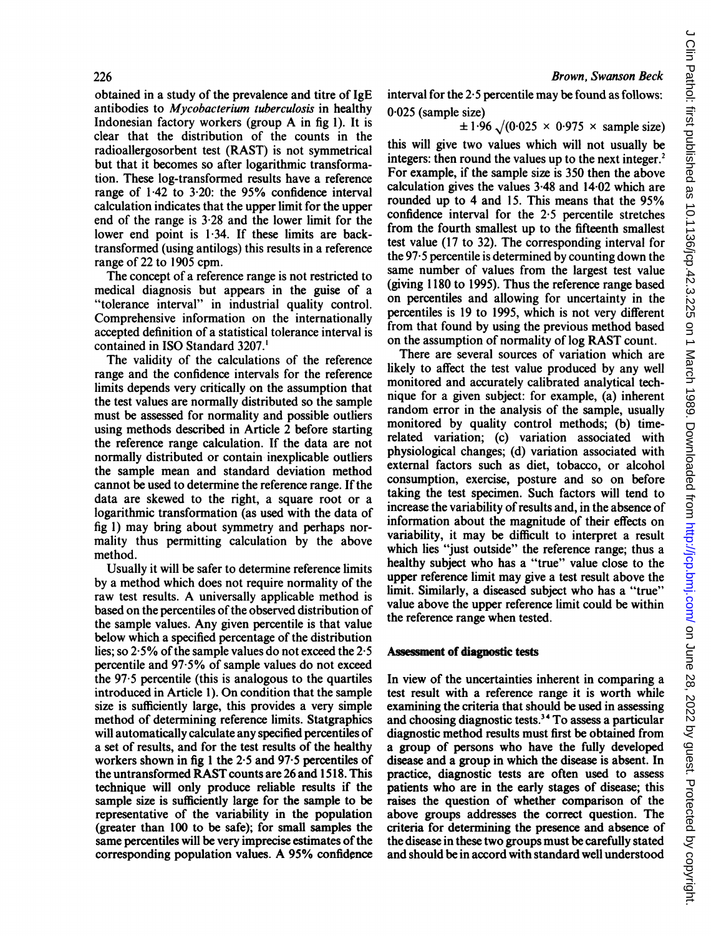obtained in a study of the prevalence and titre of IgE antibodies to Mycobacterium tuberculosis in healthy Indonesian factory workers (group A in fig 1). It is clear that the distribution of the counts in the radioallergosorbent test (RAST) is not symmetrical but that it becomes so after logarithmic transformation. These log-transformed results have a reference range of 1-42 to 3-20: the 95% confidence interval calculation indicates that the upper limit for the upper end of the range is 3-28 and the lower limit for the lower end point is 1-34. If these limits are backtransformed (using antilogs) this results in a reference range of 22 to 1905 cpm.

The concept of a reference range is not restricted to medical diagnosis but appears in the guise of a "tolerance interval" in industrial quality control. Comprehensive information on the internationally accepted definition of a statistical tolerance interval is contained in ISO Standard 3207.'

The validity of the calculations of the reference range and the confidence intervals for the reference limits depends very critically on the assumption that the test values are normally distributed so the sample must be assessed for normality and possible outliers using methods described in Article 2 before starting the reference range calculation. If the data are not normally distributed or contain inexplicable outliers the sample mean and standard deviation method cannot be used to determine the reference range. If the data are skewed to the right, a square root or a logarithmic transformation (as used with the data of fig 1) may bring about symmetry and perhaps normality thus permitting calculation by the above method.

Usually it will be safer to determine reference limits by a method which does not require normality of the raw test results. A universally applicable method is based on the percentiles of the observed distribution of the sample values. Any given percentile is that value below which a specified percentage of the distribution lies; so 2-5% of the sample values do not exceed the 2-5 percentile and 97 5% of sample values do not exceed the 97-5 percentile (this is analogous to the quartiles introduced in Article 1). On condition that the sample size is sufficiently large, this provides a very simple method of determining reference limits. Statgraphics will automatically calculate any specified percentiles of a set of results, and for the test results of the healthy workers shown in fig 1 the 2.5 and 97.5 percentiles of the untransformed RAST counts are 26 and 1518. This technique will only produce reliable results if the sample size is sufficiently large for the sample to be representative of the variability in the population (greater than 100 to be safe); for small samples the same percentiles will be very imprecise estimates of the corresponding population values. A 95% confidence

interval for the 2-5 percentile may be found as follows: 0 025 (sample size)

 $\pm 1.96 \sqrt{(0.025 \times 0.975 \times \text{sample size})}$ 

this will give two values which will not usually be integers: then round the values up to the next integer. $<sup>2</sup>$ </sup> For example, if the sample size is 350 then the above calculation gives the values 3-48 and 14 02 which are rounded up to 4 and 15. This means that the 95% confidence interval for the 2-5 percentile stretches from the fourth smallest up to the fifteenth smallest test value (17 to 32). The corresponding interval for the 97 <sup>5</sup> percentile is determined by counting down the same number of values from the largest test value (giving 1180 to 1995). Thus the reference range based on percentiles and allowing for uncertainty in the percentiles is 19 to 1995, which is not very different from that found by using the previous method based on the assumption of normality of log RAST count.

There are several sources of variation which are likely to affect the test value produced by any well monitored and accurately calibrated analytical technique for a given subject: for example, (a) inherent random error in the analysis of the sample, usually monitored by quality control methods; (b) timerelated variation; (c) variation associated with physiological changes; (d) variation associated with external factors such as diet, tobacco, or alcohol consumption, exercise, posture and so on before taking the test specimen. Such factors will tend to increase the variability of results and, in the absence of information about the magnitude of their effects on variability, it may be difficult to interpret a result which lies "just outside" the reference range; thus a healthy subject who has a "true" value close to the upper reference limit may give a test result above the limit. Similarly, a diseased subject who has a "true" value above the upper reference limit could be within the reference range when tested.

### Assessment of diagnostic tests

In view of the uncertainties inherent in comparing a test result with a reference range it is worth while examining the criteria that should be used in assessing and choosing diagnostic tests.<sup>34</sup> To assess a particular diagnostic method results must first be obtained from a group of persons who have the fully developed disease and a group in which the disease is absent. In practice, diagnostic tests are often used to assess patients who are in the early stages of disease; this raises the question of whether comparison of the above groups addresses the correct question. The criteria for determining the presence and absence of the disease in these two groups must be carefully stated and should be in accord with standard well understood  $\epsilon$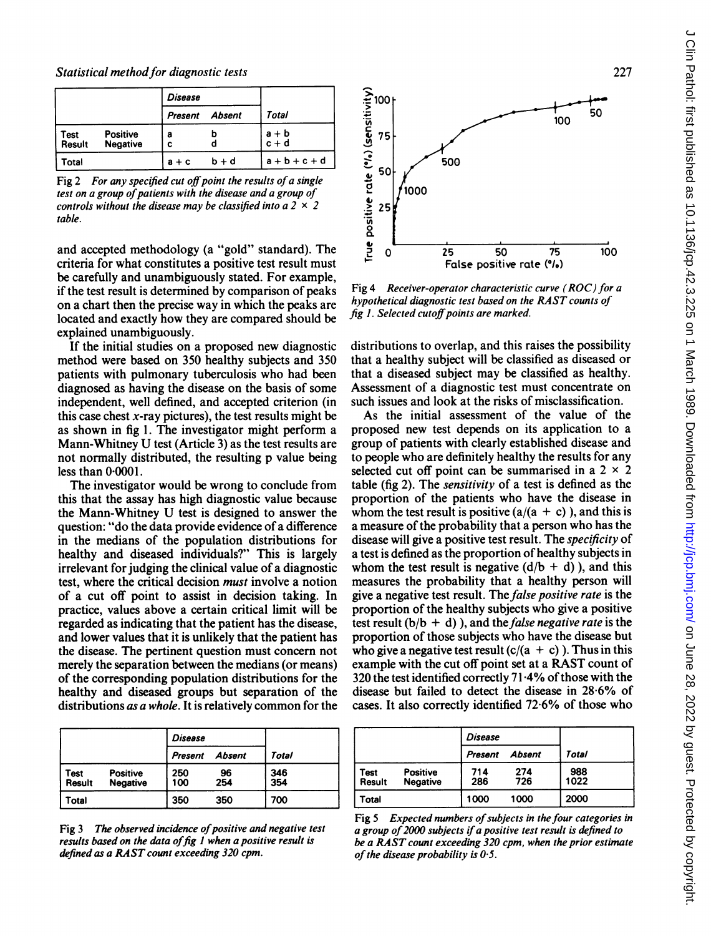|                |                                    | <b>Disease</b> |                |                    |  |
|----------------|------------------------------------|----------------|----------------|--------------------|--|
|                |                                    |                | Present Absent | Total              |  |
| Test<br>Result | <b>Positive</b><br><b>Negative</b> | a<br>с         | b<br>d         | $a + b$<br>$c + d$ |  |
| Total          |                                    | $a + c$        | $b + d$        | $a + b + c + d$    |  |

Fig 2 For any specified cut off point the results of a single test on a group of patients with the disease and a group of controls without the disease may be classified into a  $2 \times 2$ table.

and accepted methodology (a "gold" standard). The criteria for what constitutes a positive test result must be carefully and unambiguously stated. For example, if the test result is determined by comparison of peaks on a chart then the precise way in which the peaks are located and exactly how they are compared should be explained unambiguously.

If the initial studies on a proposed new diagnostic method were based on 350 healthy subjects and 350 patients with pulmonary tuberculosis who had been diagnosed as having the disease on the basis of some independent, well defined, and accepted criterion (in this case chest  $x$ -ray pictures), the test results might be as shown in fig 1. The investigator might perform a Mann-Whitney U test (Article 3) as the test results are not normally distributed, the resulting p value being less than 0-0001.

The investigator would be wrong to conclude from this that the assay has high diagnostic value because the Mann-Whitney U test is designed to answer the question: "do the data provide evidence of a difference in the medians of the population distributions for healthy and diseased individuals?" This is largely irrelevant for judging the clinical value of a diagnostic test, where the critical decision must involve a notion of a cut off point to assist in decision taking. In practice, values above a certain critical limit will be regarded as indicating that the patient has the disease, and lower values that it is unlikely that the patient has the disease. The pertinent question must concern not merely the separation between the medians (or means) of the corresponding population distributions for the healthy and diseased groups but separation of the distributions as a whole. It is relatively common for the

|                |                                    | <b>Disease</b> |           |            |
|----------------|------------------------------------|----------------|-----------|------------|
|                |                                    | Present        | Absent    | Total      |
| Test<br>Result | <b>Positive</b><br><b>Negative</b> | 250<br>100     | 96<br>254 | 346<br>354 |
| Total          |                                    | 350            | 350       | 700        |

Fig 3 The observed incidence of positive and negative test results based on the data of  $fig\,l$  when a positive result is defined as a RAST count exceeding 320 cpm.



Fig 4 Receiver-operator characteristic curve (ROC) for a hypothetical diagnostic test based on the RAST counts of fig 1. Selected cutoff points are marked.

distributions to overlap, and this raises the possibility that a healthy subject will be classified as diseased or that a diseased subject may be classified as healthy. Assessment of a diagnostic test must concentrate on such issues and look at the risks of misclassification.

As the initial assessment of the value of the proposed new test depends on its application to a group of patients with clearly established disease and to people who are definitely healthy the results for any selected cut off point can be summarised in a  $2 \times 2$ table (fig 2). The *sensitivity* of a test is defined as the proportion of the patients who have the disease in whom the test result is positive  $(a/(a + c))$ , and this is a measure of the probability that a person who has the disease will give a positive test result. The specificity of a test is defined as the proportion of healthy subjects in whom the test result is negative  $(d/b + d)$ ), and this measures the probability that a healthy person will give a negative test result. The false positive rate is the proportion of the healthy subjects who give a positive test result  $(b/b + d)$ , and the *false negative rate* is the proportion of those subjects who have the disease but who give a negative test result  $(c/(a + c))$ . Thus in this example with the cut off point set at <sup>a</sup> RAST count of <sup>320</sup> the test identified correctly <sup>71</sup> 4% of those with the disease but failed to detect the disease in 28-6% of cases. It also correctly identified 72-6% of those who

|                |                             | <b>Disease</b> |            |             |
|----------------|-----------------------------|----------------|------------|-------------|
|                |                             | Present        | Absent     | Total       |
| Test<br>Result | Positive<br><b>Negative</b> | 714<br>286     | 274<br>726 | 988<br>1022 |
| Total          |                             | 1000           | 1000       | 2000        |

Fig 5 Expected numbers of subjects in the four categories in a group of 2000 subjects if a positive test result is defined to be <sup>a</sup> RAST count exceeding 320 cpm, when the prior estimate of the disease probability is  $0.5$ .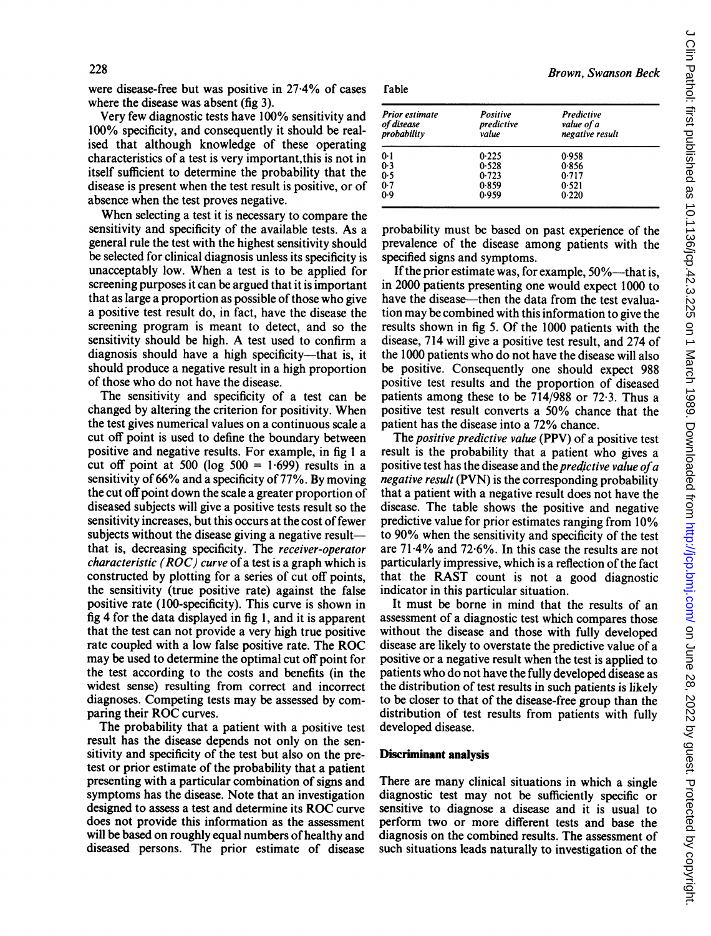were disease-free but was positive in 27-4% of cases where the disease was absent (fig 3).

Very few diagnostic tests have 100% sensitivity and 100% specificity, and consequently it should be realised that although knowledge of these operating characteristics of a test is very important,this is not in itself sufficient to determine the probability that the disease is present when the test result is positive, or of absence when the test proves negative.

When selecting a test it is necessary to compare the sensitivity and specificity of the available tests. As a general rule the test with the highest sensitivity should be selected for clinical diagnosis unless its specificity is unacceptably low. When a test is to be applied for screening purposes it can be argued that it is important that as large a proportion as possible of those who give a positive test result do, in fact, have the disease the screening program is meant to detect, and so the sensitivity should be high. A test used to confirm <sup>a</sup> diagnosis should have a high specificity-that is, it should produce a negative result in a high proportion of those who do not have the disease.

The sensitivity and specificity of a test can be changed by altering the criterion for positivity. When the test gives numerical values on a continuous scale a cut off point is used to define the boundary between positive and negative results. For example, in fig <sup>1</sup> a cut off point at 500 (log  $500 = 1.699$ ) results in a sensitivity of 66% and a specificity of 77%. By moving the cut off point down the scale a greater proportion of diseased subjects will give a positive tests result so the sensitivity increases, but this occurs at the cost of fewer subjects without the disease giving a negative resultthat is, decreasing specificity. The receiver-operator *characteristic (ROC) curve* of a test is a graph which is constructed by plotting for a series of cut off points, the sensitivity (true positive rate) against the false positive rate (100-specificity). This curve is shown in fig 4 for the data displayed in fig 1, and it is apparent that the test can not provide a very high true positive rate coupled with <sup>a</sup> low false positive rate. The ROC may be used to determine the optimal cut off point for the test according to the costs and benefits (in the widest sense) resulting from correct and incorrect diagnoses. Competing tests may be assessed by comparing their ROC curves.

The probability that a patient with a positive test result has the disease depends not only on the sensitivity and specificity of the test but also on the pretest or prior estimate of the probability that a patient presenting with a particular combination of signs and symptoms has the disease. Note that an investigation designed to assess <sup>a</sup> test and determine its ROC curve does not provide this information as the assessment will be based on roughly equal numbers of healthy and diseased persons. The prior estimate of disease

Brown, Swanson Beck

| <b>Prior</b> estimate<br>of disease<br>probability | Positive<br>predictive<br>value | Predictive<br>value of a<br>negative result |
|----------------------------------------------------|---------------------------------|---------------------------------------------|
| 0.1                                                | 0.225                           | 0.958                                       |
| 0.3                                                | 0.528                           | 0.856                                       |
| $0.5$<br>$0.7$                                     | 0.723                           | 0.717                                       |
|                                                    | 0.859                           | 0.521                                       |
| 0.9                                                | 0.959                           | 0.220                                       |

fable

probability must be based on past experience of the prevalence of the disease among patients with the specified signs and symptoms.

If the prior estimate was, for example,  $50\%$ —that is, in 2000 patients presenting one would expect 1000 to have the disease—then the data from the test evaluation may be combined with this information to give the results shown in fig 5. Of the 1000 patients with the disease, 714 will give a positive test result, and 274 of the 1000 patients who do not have the disease will also be positive. Consequently one should expect 988 positive test results and the proportion of diseased patients among these to be 714/988 or 72-3. Thus a positive test result converts a 50% chance that the patient has the disease into a 72% chance.

The *positive predictive value* (PPV) of a positive test result is the probability that a patient who gives a positive test has the disease and the *predictive value of a* negative result (PVN) is the corresponding probability that a patient with a negative result does not have the disease. The table shows the positive and negative predictive value for prior estimates ranging from 10% to 90% when the sensitivity and specificity of the test are <sup>71</sup> 4% and 72-6%. In this case the results are not particularly impressive, which is a reflection of the fact that the RAST count is not <sup>a</sup> good diagnostic indicator in this particular situation.

It must be borne in mind that the results of an assessment of a diagnostic test which compares those without the disease and those with fully developed disease are likely to overstate the predictive value of a positive or a negative result when the test is applied to patients who do not have the fully developed disease as the distribution of test results in such patients is likely to be closer to that of the disease-free group than the distribution of test results from patients with fully developed disease.

#### Discriminant analysis

There are many clinical situations in which a single diagnostic test may not be sufficiently specific or sensitive to diagnose a disease and it is usual to perform two or more different tests and base the diagnosis on the combined results. The assessment of such situations leads naturally to investigation of the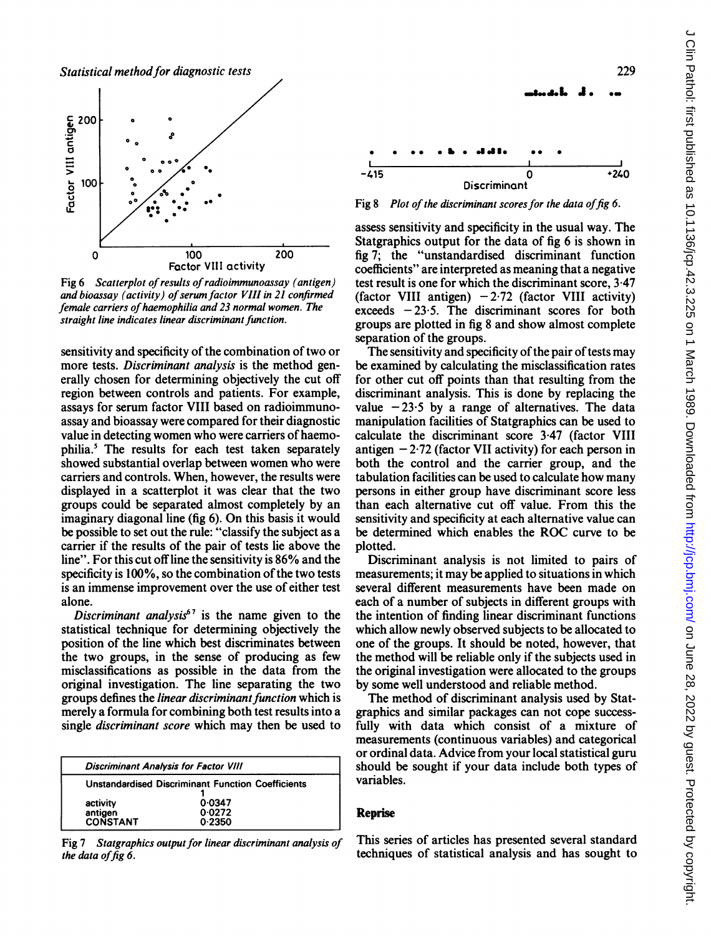

Fig 6 Scatterplot of results of radioimmunoassay (antigen) and bioassay ( $activity$ ) of serum factor VIII in 21 confirmed female carriers of haemophilia and 23 normal women. The straight line indicates linear discriminant function.

sensitivity and specificity of the combination of two or more tests. Discriminant analysis is the method generally chosen for determining objectively the cut off region between controls and patients. For example, assays for serum factor VIII based on radioimmunoassay and bioassay were compared for their diagnostic value in detecting women who were carriers of haemophilia.5 The results for each test taken separately showed substantial overlap between women who were carriers and controls. When, however, the results were displayed in a scatterplot it was clear that the two groups could be separated almost completely by an imaginary diagonal line (fig 6). On this basis it would be possible to set out the rule: "classify the subject as a carrier if the results of the pair of tests lie above the line". For this cut off line the sensitivity is 86% and the specificity is 100%, so the combination of the two tests is an immense improvement over the use of either test alone.

Discriminant analysis<sup>67</sup> is the name given to the statistical technique for determining objectively the position of the line which best discriminates between the two groups, in the sense of producing as few misclassifications as possible in the data from the original investigation. The line separating the two groups defines the linear discriminant function which is merely a formula for combining both test results into a single *discriminant score* which may then be used to

|                                        | <b>Discriminant Analysis for Factor VIII</b>             |     |
|----------------------------------------|----------------------------------------------------------|-----|
|                                        | <b>Unstandardised Discriminant Function Coefficients</b> | vaı |
| activity<br>antigen<br><b>CONSTANT</b> | 0.0347<br>0.0272<br>0.2350                               | Re  |

Fig 7 Statgraphics output for linear discriminant analysis of the data of  $\tilde{f}$ ig  $\tilde{6}$ .



Fig 8 Plot of the discriminant scores for the data of fig  $6$ .

assess sensitivity and specificity in the usual way. The Statgraphics output for the data of fig 6 is shown in fig 7; the "unstandardised discriminant function coefficients" are interpreted as meaning that a negative test result is one for which the discriminant score, 3-47 (factor VIII antigen)  $-2.72$  (factor VIII activity) exceeds  $-23.5$ . The discriminant scores for both groups are plotted in fig 8 and show almost complete separation of the groups.

The sensitivity and specificity of the pair of tests may be examined by calculating the misclassification rates for other cut off points than that resulting from the discriminant analysis. This is done by replacing the value  $-23.5$  by a range of alternatives. The data manipulation facilities of Statgraphics can be used to calculate the discriminant score 3-47 (factor VIII antigen  $-2.72$  (factor VII activity) for each person in both the control and the carrier group, and the tabulation facilities can be used to calculate how many persons in either group have discriminant score less than each alternative cut off value. From this the sensitivity and specificity at each alternative value can be determined which enables the ROC curve to be plotted.

Discriminant analysis is not limited to pairs of measurements; it may be applied to situations in which several different measurements have been made on each of a number of subjects in different groups with the intention of finding linear discriminant functions which allow newly observed subjects to be allocated to one of the groups. It should be noted, however, that the method will be reliable only if the subjects used in the original investigation were allocated to the groups by some well understood and reliable method.

The method of discriminant analysis used by Statgraphics and similar packages can not cope successfully with data which consist of a mixture of measurements (continuous variables) and categorical or ordinal data. Advice from your local statistical guru should be sought if your data include both types of variables.

#### Reprise

This series of articles has presented several standard techniques of statistical analysis and has sought to